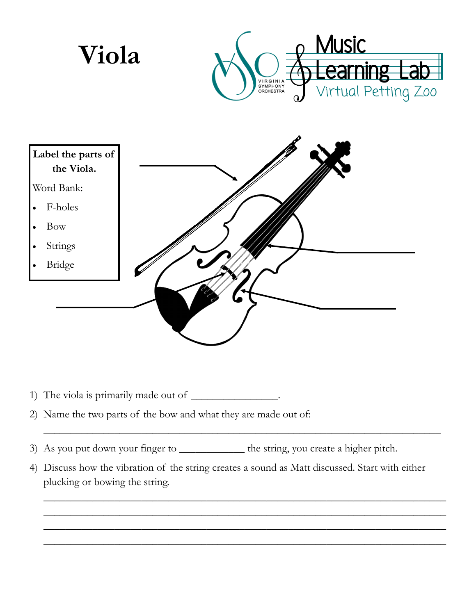

- 1) The viola is primarily made out of \_\_\_\_\_\_\_\_\_\_\_\_\_\_\_\_\_.
- 2) Name the two parts of the bow and what they are made out of:
- 3) As you put down your finger to \_\_\_\_\_\_\_\_\_\_\_\_ the string, you create a higher pitch.
- 4) Discuss how the vibration of the string creates a sound as Matt discussed. Start with either plucking or bowing the string.

\_\_\_\_\_\_\_\_\_\_\_\_\_\_\_\_\_\_\_\_\_\_\_\_\_\_\_\_\_\_\_\_\_\_\_\_\_\_\_\_\_\_\_\_\_\_\_\_\_\_\_\_\_\_\_\_\_\_\_\_\_\_\_\_\_\_\_\_\_\_\_\_\_

\_\_\_\_\_\_\_\_\_\_\_\_\_\_\_\_\_\_\_\_\_\_\_\_\_\_\_\_\_\_\_\_\_\_\_\_\_\_\_\_\_\_\_\_\_\_\_\_\_\_\_\_\_\_\_\_\_\_\_\_\_\_\_\_\_\_\_\_\_\_\_\_\_\_ \_\_\_\_\_\_\_\_\_\_\_\_\_\_\_\_\_\_\_\_\_\_\_\_\_\_\_\_\_\_\_\_\_\_\_\_\_\_\_\_\_\_\_\_\_\_\_\_\_\_\_\_\_\_\_\_\_\_\_\_\_\_\_\_\_\_\_\_\_\_\_\_\_\_ \_\_\_\_\_\_\_\_\_\_\_\_\_\_\_\_\_\_\_\_\_\_\_\_\_\_\_\_\_\_\_\_\_\_\_\_\_\_\_\_\_\_\_\_\_\_\_\_\_\_\_\_\_\_\_\_\_\_\_\_\_\_\_\_\_\_\_\_\_\_\_\_\_\_ \_\_\_\_\_\_\_\_\_\_\_\_\_\_\_\_\_\_\_\_\_\_\_\_\_\_\_\_\_\_\_\_\_\_\_\_\_\_\_\_\_\_\_\_\_\_\_\_\_\_\_\_\_\_\_\_\_\_\_\_\_\_\_\_\_\_\_\_\_\_\_\_\_\_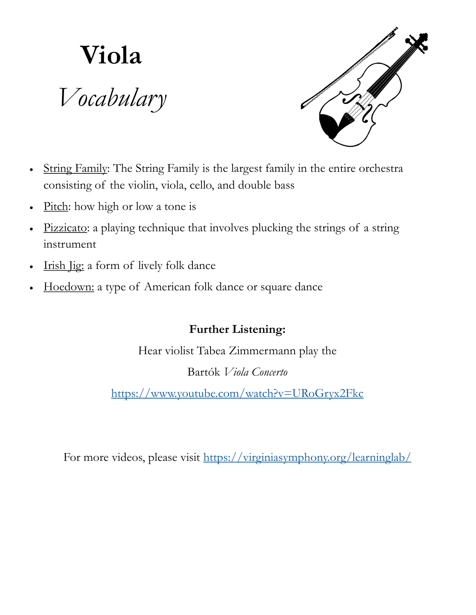## **Viola** *Vocabulary*



- String Family: The String Family is the largest family in the entire orchestra consisting of the violin, viola, cello, and double bass
- Pitch: how high or low a tone is
- Pizzicato: a playing technique that involves plucking the strings of a string instrument
- Irish *Jig*: a form of lively folk dance
- Hoedown: a type of American folk dance or square dance

## **Further Listening:**

Hear violist Tabea Zimmermann play the

Bartók *Viola Concerto*

<https://www.youtube.com/watch?v=URoGryx2Fkc>

For more videos, please visit <https://virginiasymphony.org/learninglab/>